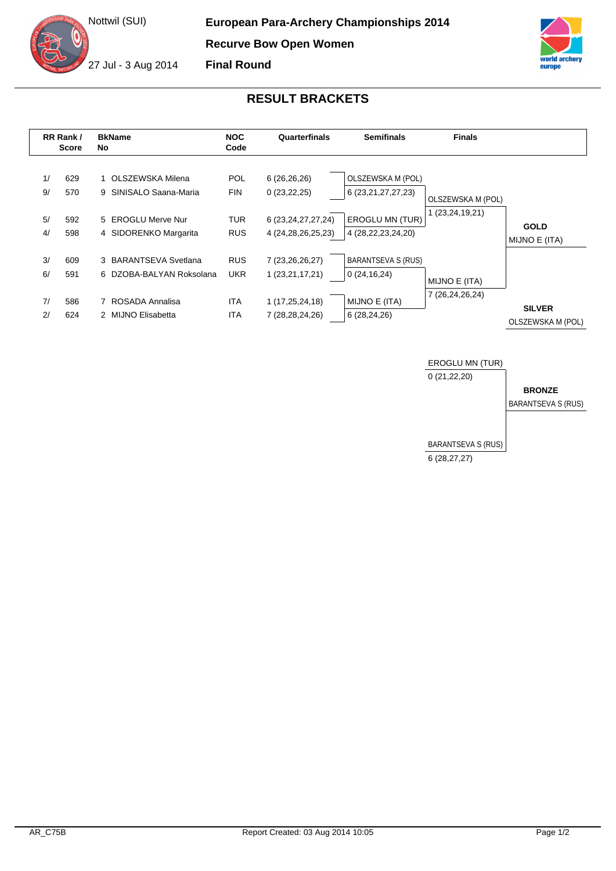



## **RESULT BRACKETS**